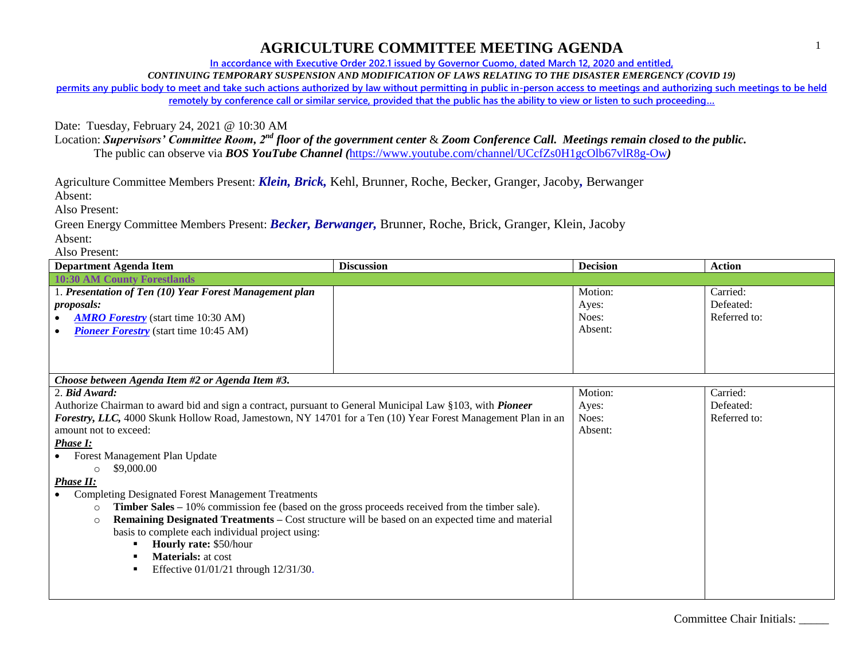**In accordance with Executive Order 202.1 issued by Governor Cuomo, dated March 12, 2020 and entitled,**

*CONTINUING TEMPORARY SUSPENSION AND MODIFICATION OF LAWS RELATING TO THE DISASTER EMERGENCY (COVID 19)*

**permits any public body to meet and take such actions authorized by law without permitting in public in-person access to meetings and authorizing such meetings to be held remotely by conference call or similar service, provided that the public has the ability to view or listen to such proceeding…**

Date: Tuesday, February 24, 2021 @ 10:30 AM

Location: *Supervisors' Committee Room, 2nd floor of the government center* & *Zoom Conference Call. Meetings remain closed to the public.* The public can observe via *BOS YouTube Channel (*<https://www.youtube.com/channel/UCcfZs0H1gcOlb67vlR8g-Ow>*)*

Agriculture Committee Members Present: *Klein, Brick,* Kehl, Brunner, Roche, Becker, Granger, Jacoby*,* Berwanger

Absent:

Also Present:

Green Energy Committee Members Present: *Becker, Berwanger,* Brunner, Roche, Brick, Granger, Klein, Jacoby Absent:

Also Present:

| <b>Department Agenda Item</b>                                                                               | <b>Discussion</b>                                                                               | <b>Decision</b> | <b>Action</b> |
|-------------------------------------------------------------------------------------------------------------|-------------------------------------------------------------------------------------------------|-----------------|---------------|
| <b>10:30 AM County Forestlands</b>                                                                          |                                                                                                 |                 |               |
| 1. Presentation of Ten (10) Year Forest Management plan                                                     |                                                                                                 | Motion:         | Carried:      |
| proposals:                                                                                                  |                                                                                                 | Ayes:           | Defeated:     |
| <b>AMRO Forestry</b> (start time 10:30 AM)                                                                  |                                                                                                 | Noes:           | Referred to:  |
| <b>Pioneer Forestry</b> (start time 10:45 AM)                                                               |                                                                                                 | Absent:         |               |
|                                                                                                             |                                                                                                 |                 |               |
|                                                                                                             |                                                                                                 |                 |               |
|                                                                                                             |                                                                                                 |                 |               |
| Choose between Agenda Item #2 or Agenda Item #3.                                                            |                                                                                                 |                 |               |
| 2. Bid Award:                                                                                               |                                                                                                 | Motion:         | Carried:      |
| Authorize Chairman to award bid and sign a contract, pursuant to General Municipal Law §103, with Pioneer   |                                                                                                 | Ayes:           | Defeated:     |
| Forestry, LLC, 4000 Skunk Hollow Road, Jamestown, NY 14701 for a Ten (10) Year Forest Management Plan in an |                                                                                                 | Noes:           | Referred to:  |
| amount not to exceed:                                                                                       |                                                                                                 | Absent:         |               |
| <b>Phase I:</b>                                                                                             |                                                                                                 |                 |               |
| Forest Management Plan Update                                                                               |                                                                                                 |                 |               |
| \$9,000.00                                                                                                  |                                                                                                 |                 |               |
| <b>Phase II:</b>                                                                                            |                                                                                                 |                 |               |
| <b>Completing Designated Forest Management Treatments</b>                                                   |                                                                                                 |                 |               |
| Timber Sales - 10% commission fee (based on the gross proceeds received from the timber sale).<br>$\circ$   |                                                                                                 |                 |               |
| $\circ$                                                                                                     | Remaining Designated Treatments - Cost structure will be based on an expected time and material |                 |               |
| basis to complete each individual project using:                                                            |                                                                                                 |                 |               |
| Hourly rate: \$50/hour                                                                                      |                                                                                                 |                 |               |
| <b>Materials:</b> at cost                                                                                   |                                                                                                 |                 |               |
| Effective 01/01/21 through 12/31/30.                                                                        |                                                                                                 |                 |               |
|                                                                                                             |                                                                                                 |                 |               |
|                                                                                                             |                                                                                                 |                 |               |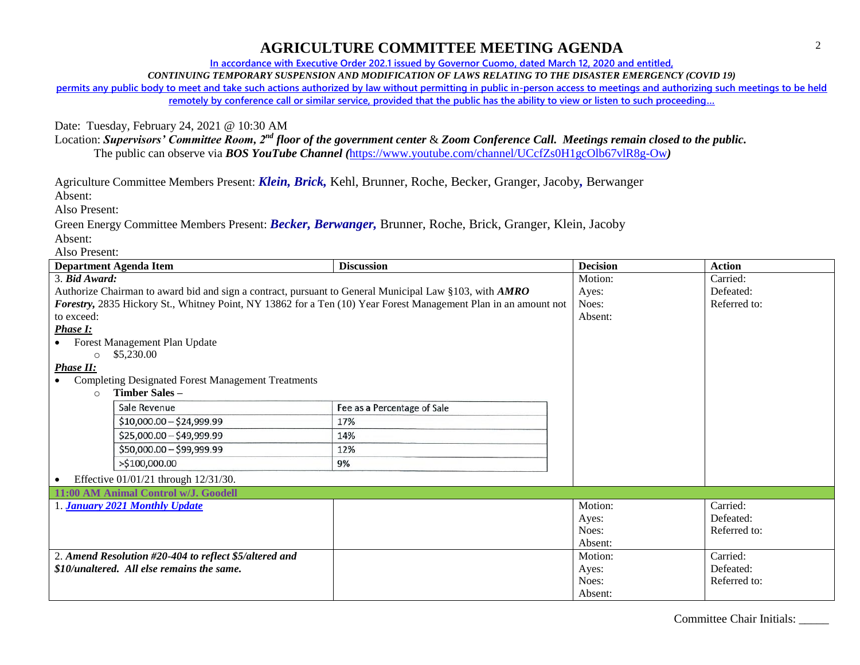**In accordance with Executive Order 202.1 issued by Governor Cuomo, dated March 12, 2020 and entitled,**

*CONTINUING TEMPORARY SUSPENSION AND MODIFICATION OF LAWS RELATING TO THE DISASTER EMERGENCY (COVID 19)*

**permits any public body to meet and take such actions authorized by law without permitting in public in-person access to meetings and authorizing such meetings to be held remotely by conference call or similar service, provided that the public has the ability to view or listen to such proceeding…**

Date: Tuesday, February 24, 2021 @ 10:30 AM

Location: *Supervisors' Committee Room, 2nd floor of the government center* & *Zoom Conference Call. Meetings remain closed to the public.* The public can observe via *BOS YouTube Channel (*<https://www.youtube.com/channel/UCcfZs0H1gcOlb67vlR8g-Ow>*)*

Agriculture Committee Members Present: *Klein, Brick,* Kehl, Brunner, Roche, Becker, Granger, Jacoby*,* Berwanger

Absent:

Also Present:

Green Energy Committee Members Present: *Becker, Berwanger,* Brunner, Roche, Brick, Granger, Klein, Jacoby Absent:

Also Present:

| <b>Department Agenda Item</b>                                                                                   | <b>Discussion</b>           | <b>Decision</b> | <b>Action</b> |
|-----------------------------------------------------------------------------------------------------------------|-----------------------------|-----------------|---------------|
| 3. Bid Award:                                                                                                   |                             | Motion:         | Carried:      |
| Authorize Chairman to award bid and sign a contract, pursuant to General Municipal Law §103, with AMRO          |                             | Ayes:           | Defeated:     |
| Forestry, 2835 Hickory St., Whitney Point, NY 13862 for a Ten (10) Year Forest Management Plan in an amount not |                             | Noes:           | Referred to:  |
| to exceed:                                                                                                      |                             | Absent:         |               |
| Phase I:                                                                                                        |                             |                 |               |
| Forest Management Plan Update                                                                                   |                             |                 |               |
| \$5,230.00<br>$\bigcirc$                                                                                        |                             |                 |               |
| <b>Phase II:</b>                                                                                                |                             |                 |               |
| <b>Completing Designated Forest Management Treatments</b>                                                       |                             |                 |               |
| Timber Sales-<br>$\Omega$                                                                                       |                             |                 |               |
| Sale Revenue                                                                                                    | Fee as a Percentage of Sale |                 |               |
| $$10,000.00 - $24,999.99$                                                                                       | 17%                         |                 |               |
| $$25,000.00 - $49,999.99$                                                                                       | 14%                         |                 |               |
| \$50,000.00 - \$99,999.99                                                                                       | 12%                         |                 |               |
| >\$100,000.00                                                                                                   | 9%                          |                 |               |
| Effective 01/01/21 through 12/31/30.                                                                            |                             |                 |               |
| 11:00 AM Animal Control w/J. Goodell                                                                            |                             |                 |               |
| <b>January 2021 Monthly Update</b>                                                                              |                             | Motion:         | Carried:      |
|                                                                                                                 |                             | Ayes:           | Defeated:     |
|                                                                                                                 |                             | Noes:           | Referred to:  |
|                                                                                                                 |                             | Absent:         |               |
| 2. Amend Resolution #20-404 to reflect \$5/altered and                                                          |                             | Motion:         | Carried:      |
| \$10/unaltered. All else remains the same.                                                                      |                             | Ayes:           | Defeated:     |
|                                                                                                                 |                             | Noes:           | Referred to:  |
|                                                                                                                 |                             | Absent:         |               |

Committee Chair Initials: \_\_\_\_\_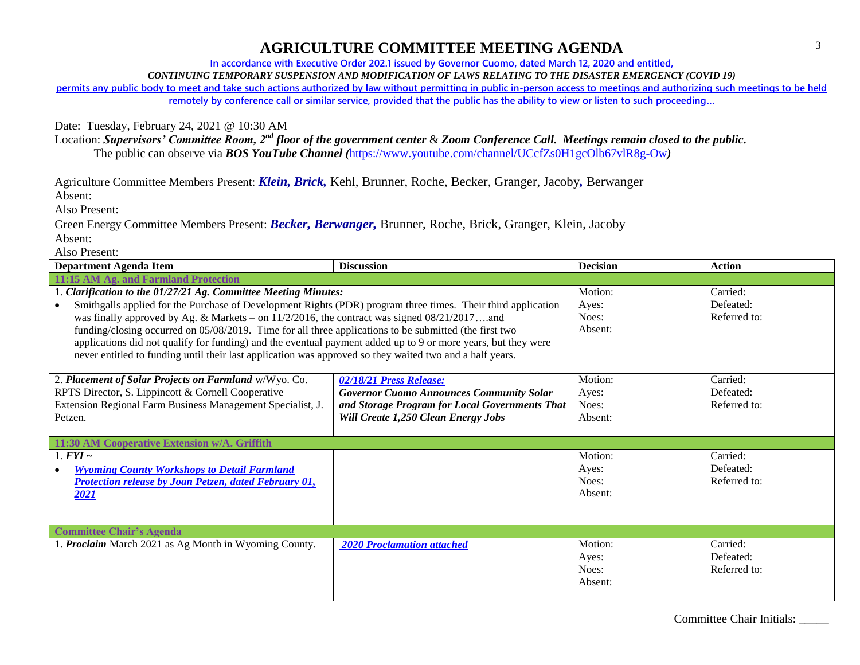**In accordance with Executive Order 202.1 issued by Governor Cuomo, dated March 12, 2020 and entitled,**

*CONTINUING TEMPORARY SUSPENSION AND MODIFICATION OF LAWS RELATING TO THE DISASTER EMERGENCY (COVID 19)*

**permits any public body to meet and take such actions authorized by law without permitting in public in-person access to meetings and authorizing such meetings to be held remotely by conference call or similar service, provided that the public has the ability to view or listen to such proceeding…**

Date: Tuesday, February 24, 2021 @ 10:30 AM

Location: *Supervisors' Committee Room, 2nd floor of the government center* & *Zoom Conference Call. Meetings remain closed to the public.* The public can observe via *BOS YouTube Channel (*<https://www.youtube.com/channel/UCcfZs0H1gcOlb67vlR8g-Ow>*)*

Agriculture Committee Members Present: *Klein, Brick,* Kehl, Brunner, Roche, Becker, Granger, Jacoby*,* Berwanger

Absent:

Also Present:

Green Energy Committee Members Present: *Becker, Berwanger,* Brunner, Roche, Brick, Granger, Klein, Jacoby Absent:

Also Present:

| <b>Department Agenda Item</b>                                                                                 | <b>Discussion</b>                               | <b>Decision</b> | <b>Action</b> |
|---------------------------------------------------------------------------------------------------------------|-------------------------------------------------|-----------------|---------------|
| 11:15 AM Ag. and Farmland Protection                                                                          |                                                 |                 |               |
| 1. Clarification to the 01/27/21 Ag. Committee Meeting Minutes:                                               |                                                 | Motion:         | Carried:      |
| Smithgalls applied for the Purchase of Development Rights (PDR) program three times. Their third application  |                                                 | Ayes:           | Defeated:     |
| was finally approved by Ag. & Markets – on $11/2/2016$ , the contract was signed $08/21/2017$ and             |                                                 | Noes:           | Referred to:  |
| funding/closing occurred on 05/08/2019. Time for all three applications to be submitted (the first two        |                                                 | Absent:         |               |
| applications did not qualify for funding) and the eventual payment added up to 9 or more years, but they were |                                                 |                 |               |
| never entitled to funding until their last application was approved so they waited two and a half years.      |                                                 |                 |               |
|                                                                                                               |                                                 |                 |               |
| 2. Placement of Solar Projects on Farmland w/Wyo. Co.                                                         | 02/18/21 Press Release:                         | Motion:         | Carried:      |
| RPTS Director, S. Lippincott & Cornell Cooperative                                                            | <b>Governor Cuomo Announces Community Solar</b> | Ayes:           | Defeated:     |
| Extension Regional Farm Business Management Specialist, J.                                                    | and Storage Program for Local Governments That  | Noes:           | Referred to:  |
| Petzen.                                                                                                       | Will Create 1,250 Clean Energy Jobs             | Absent:         |               |
|                                                                                                               |                                                 |                 |               |
| 11:30 AM Cooperative Extension w/A. Griffith                                                                  |                                                 |                 |               |
| 1. $FYI \sim$                                                                                                 |                                                 | Motion:         | Carried:      |
| <b>Wyoming County Workshops to Detail Farmland</b>                                                            |                                                 | Ayes:           | Defeated:     |
| <b>Protection release by Joan Petzen, dated February 01,</b>                                                  |                                                 | Noes:           | Referred to:  |
| 2021                                                                                                          |                                                 | Absent:         |               |
|                                                                                                               |                                                 |                 |               |
| <b>Committee Chair's Agenda</b>                                                                               |                                                 |                 |               |
| 1. Proclaim March 2021 as Ag Month in Wyoming County.                                                         |                                                 | Motion:         | Carried:      |
|                                                                                                               | <b>2020 Proclamation attached</b>               |                 | Defeated:     |
|                                                                                                               |                                                 | Ayes:<br>Noes:  | Referred to:  |
|                                                                                                               |                                                 | Absent:         |               |
|                                                                                                               |                                                 |                 |               |
|                                                                                                               |                                                 |                 |               |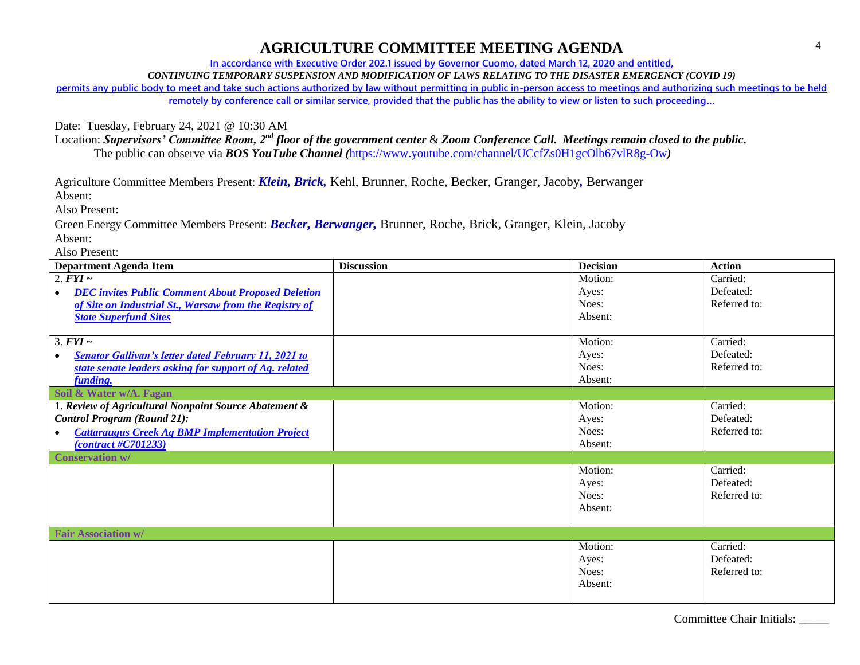**In accordance with Executive Order 202.1 issued by Governor Cuomo, dated March 12, 2020 and entitled,**

*CONTINUING TEMPORARY SUSPENSION AND MODIFICATION OF LAWS RELATING TO THE DISASTER EMERGENCY (COVID 19)*

**permits any public body to meet and take such actions authorized by law without permitting in public in-person access to meetings and authorizing such meetings to be held remotely by conference call or similar service, provided that the public has the ability to view or listen to such proceeding…**

Date: Tuesday, February 24, 2021 @ 10:30 AM

Location: *Supervisors' Committee Room, 2nd floor of the government center* & *Zoom Conference Call. Meetings remain closed to the public.* The public can observe via *BOS YouTube Channel (*<https://www.youtube.com/channel/UCcfZs0H1gcOlb67vlR8g-Ow>*)*

Agriculture Committee Members Present: *Klein, Brick,* Kehl, Brunner, Roche, Becker, Granger, Jacoby*,* Berwanger

Absent:

Also Present:

Green Energy Committee Members Present: *Becker, Berwanger,* Brunner, Roche, Brick, Granger, Klein, Jacoby Absent:

Also Present:

| <b>Department Agenda Item</b>                                            | <b>Discussion</b> | <b>Decision</b> | <b>Action</b> |
|--------------------------------------------------------------------------|-------------------|-----------------|---------------|
| 2. $FYI \sim$                                                            |                   | Motion:         | Carried:      |
| <b>DEC</b> invites Public Comment About Proposed Deletion<br>$\bullet$   |                   | Ayes:           | Defeated:     |
| of Site on Industrial St., Warsaw from the Registry of                   |                   | Noes:           | Referred to:  |
| <b>State Superfund Sites</b>                                             |                   | Absent:         |               |
|                                                                          |                   |                 |               |
| $3. FYI \sim$                                                            |                   | Motion:         | Carried:      |
| <b>Senator Gallivan's letter dated February 11, 2021 to</b><br>$\bullet$ |                   | Ayes:           | Defeated:     |
| state senate leaders asking for support of Ag. related                   |                   | Noes:           | Referred to:  |
| funding.                                                                 |                   | Absent:         |               |
| Soil & Water w/A. Fagan                                                  |                   |                 |               |
| 1. Review of Agricultural Nonpoint Source Abatement &                    |                   | Motion:         | Carried:      |
| <b>Control Program (Round 21):</b>                                       |                   | Ayes:           | Defeated:     |
| <b>Cattaraugus Creek Ag BMP Implementation Project</b><br>$\bullet$      |                   | Noes:           | Referred to:  |
| $\frac{(contract \#C701233)}{}$                                          |                   | Absent:         |               |
| <b>Conservation w/</b>                                                   |                   |                 |               |
|                                                                          |                   | Motion:         | Carried:      |
|                                                                          |                   | Ayes:           | Defeated:     |
|                                                                          |                   | Noes:           | Referred to:  |
|                                                                          |                   | Absent:         |               |
|                                                                          |                   |                 |               |
| <b>Fair Association w/</b>                                               |                   |                 |               |
|                                                                          |                   | Motion:         | Carried:      |
|                                                                          |                   | Ayes:           | Defeated:     |
|                                                                          |                   | Noes:           | Referred to:  |
|                                                                          |                   | Absent:         |               |
|                                                                          |                   |                 |               |